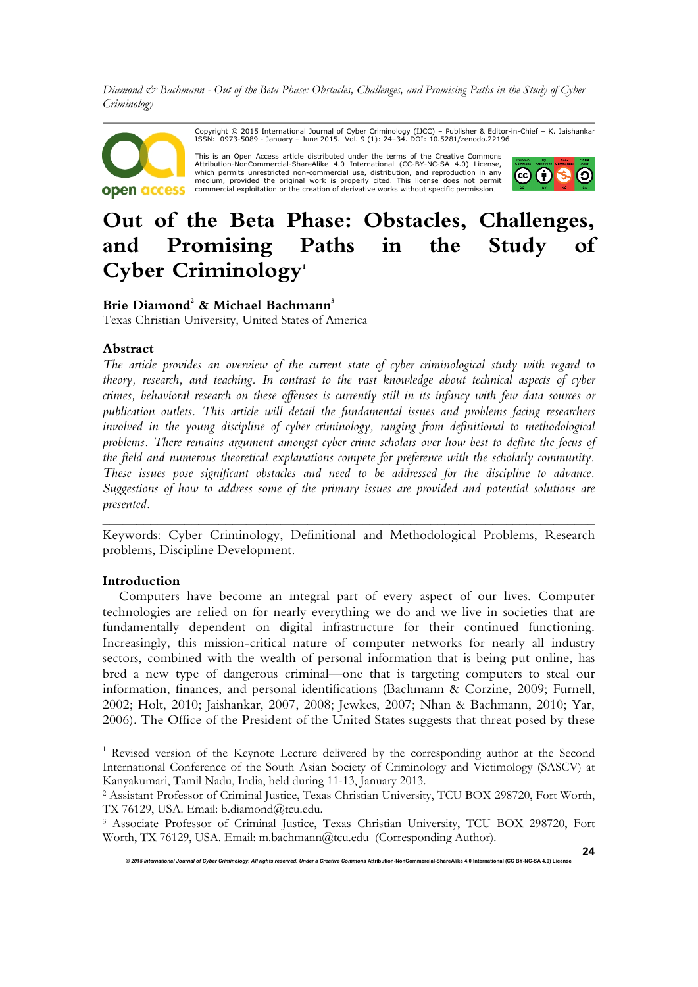Copyright © 2015 International Journal of Cyber Criminology (IJCC) – Publisher & Editor-in-Chief – K. Jaishankar ISSN: 0973-5089 - January – June 2015. Vol. 9 (1): 24–34. DOI: 10.5281/zenodo.22196

open access

This is an Open Access article distributed under the terms of the Creative Commons Attribution-NonCommercial-ShareAlike 4.0 International (CC-BY-NC-SA 4.0) License, The permits unrestricted non-commercial use, distribution, and reproduction in any which permits unrestricted non-commercial use, distribution, and reproduction in any medium, provided the original work is properly cited. This license does not permit<br>commercial exploitation or the creation of derivative works without specific permission.



# **Out of the Beta Phase: Obstacles, Challenges, and Promising Paths in the Study of Cyber Criminology1**

# Brie Diamond<sup>2</sup> & Michael Bachmann<sup>3</sup>

Texas Christian University, United States of America

# **Abstract**

*The article provides an overview of the current state of cyber criminological study with regard to theory, research, and teaching. In contrast to the vast knowledge about technical aspects of cyber crimes, behavioral research on these offenses is currently still in its infancy with few data sources or publication outlets. This article will detail the fundamental issues and problems facing researchers involved in the young discipline of cyber criminology, ranging from definitional to methodological problems. There remains argument amongst cyber crime scholars over how best to define the focus of the field and numerous theoretical explanations compete for preference with the scholarly community. These issues pose significant obstacles and need to be addressed for the discipline to advance. Suggestions of how to address some of the primary issues are provided and potential solutions are presented.* 

*\_\_\_\_\_\_\_\_\_\_\_\_\_\_\_\_\_\_\_\_\_\_\_\_\_\_\_\_\_\_\_\_\_\_\_\_\_\_\_\_\_\_\_\_\_\_\_\_\_\_\_\_\_\_\_\_\_\_\_\_\_\_\_\_\_\_\_\_\_\_\_\_* Keywords: Cyber Criminology, Definitional and Methodological Problems, Research problems, Discipline Development.

# **Introduction**

Computers have become an integral part of every aspect of our lives. Computer technologies are relied on for nearly everything we do and we live in societies that are fundamentally dependent on digital infrastructure for their continued functioning. Increasingly, this mission-critical nature of computer networks for nearly all industry sectors, combined with the wealth of personal information that is being put online, has bred a new type of dangerous criminal—one that is targeting computers to steal our information, finances, and personal identifications (Bachmann & Corzine, 2009; Furnell, 2002; Holt, 2010; Jaishankar, 2007, 2008; Jewkes, 2007; Nhan & Bachmann, 2010; Yar, 2006). The Office of the President of the United States suggests that threat posed by these

*© 2015 International Journal of Cyber Criminology. All rights reserved. Under a Creative Commons* **Attribution-NonCommercial-ShareAlike 4.0 International (CC BY-NC-SA 4.0) License** 

<sup>&</sup>lt;sup>1</sup> Revised version of the Keynote Lecture delivered by the corresponding author at the Second International Conference of the South Asian Society of Criminology and Victimology (SASCV) at Kanyakumari, Tamil Nadu, India, held during 11-13, January 2013.

<sup>2</sup> Assistant Professor of Criminal Justice, Texas Christian University, TCU BOX 298720, Fort Worth, TX 76129, USA. Email: b.diamond@tcu.edu.

<sup>3</sup> Associate Professor of Criminal Justice, Texas Christian University, TCU BOX 298720, Fort Worth, TX 76129, USA. Email: m.bachmann@tcu.edu (Corresponding Author).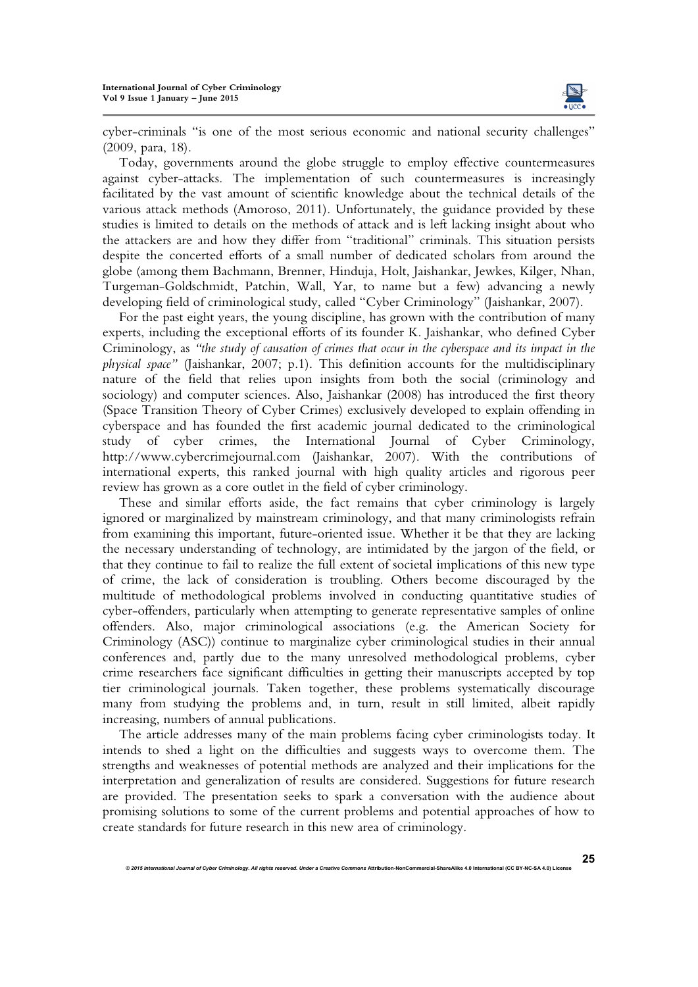

cyber-criminals "is one of the most serious economic and national security challenges" (2009, para, 18).

Today, governments around the globe struggle to employ effective countermeasures against cyber-attacks. The implementation of such countermeasures is increasingly facilitated by the vast amount of scientific knowledge about the technical details of the various attack methods (Amoroso, 2011). Unfortunately, the guidance provided by these studies is limited to details on the methods of attack and is left lacking insight about who the attackers are and how they differ from "traditional" criminals. This situation persists despite the concerted efforts of a small number of dedicated scholars from around the globe (among them Bachmann, Brenner, Hinduja, Holt, Jaishankar, Jewkes, Kilger, Nhan, Turgeman-Goldschmidt, Patchin, Wall, Yar, to name but a few) advancing a newly developing field of criminological study, called "Cyber Criminology" (Jaishankar, 2007).

For the past eight years, the young discipline, has grown with the contribution of many experts, including the exceptional efforts of its founder K. Jaishankar, who defined Cyber Criminology, as *"the study of causation of crimes that occur in the cyberspace and its impact in the physical space"* (Jaishankar, 2007; p.1). This definition accounts for the multidisciplinary nature of the field that relies upon insights from both the social (criminology and sociology) and computer sciences. Also, Jaishankar (2008) has introduced the first theory (Space Transition Theory of Cyber Crimes) exclusively developed to explain offending in cyberspace and has founded the first academic journal dedicated to the criminological study of cyber crimes, the International Journal of Cyber Criminology, http://www.cybercrimejournal.com (Jaishankar, 2007). With the contributions of international experts, this ranked journal with high quality articles and rigorous peer review has grown as a core outlet in the field of cyber criminology.

These and similar efforts aside, the fact remains that cyber criminology is largely ignored or marginalized by mainstream criminology, and that many criminologists refrain from examining this important, future-oriented issue. Whether it be that they are lacking the necessary understanding of technology, are intimidated by the jargon of the field, or that they continue to fail to realize the full extent of societal implications of this new type of crime, the lack of consideration is troubling. Others become discouraged by the multitude of methodological problems involved in conducting quantitative studies of cyber-offenders, particularly when attempting to generate representative samples of online offenders. Also, major criminological associations (e.g. the American Society for Criminology (ASC)) continue to marginalize cyber criminological studies in their annual conferences and, partly due to the many unresolved methodological problems, cyber crime researchers face significant difficulties in getting their manuscripts accepted by top tier criminological journals. Taken together, these problems systematically discourage many from studying the problems and, in turn, result in still limited, albeit rapidly increasing, numbers of annual publications.

The article addresses many of the main problems facing cyber criminologists today. It intends to shed a light on the difficulties and suggests ways to overcome them. The strengths and weaknesses of potential methods are analyzed and their implications for the interpretation and generalization of results are considered. Suggestions for future research are provided. The presentation seeks to spark a conversation with the audience about promising solutions to some of the current problems and potential approaches of how to create standards for future research in this new area of criminology.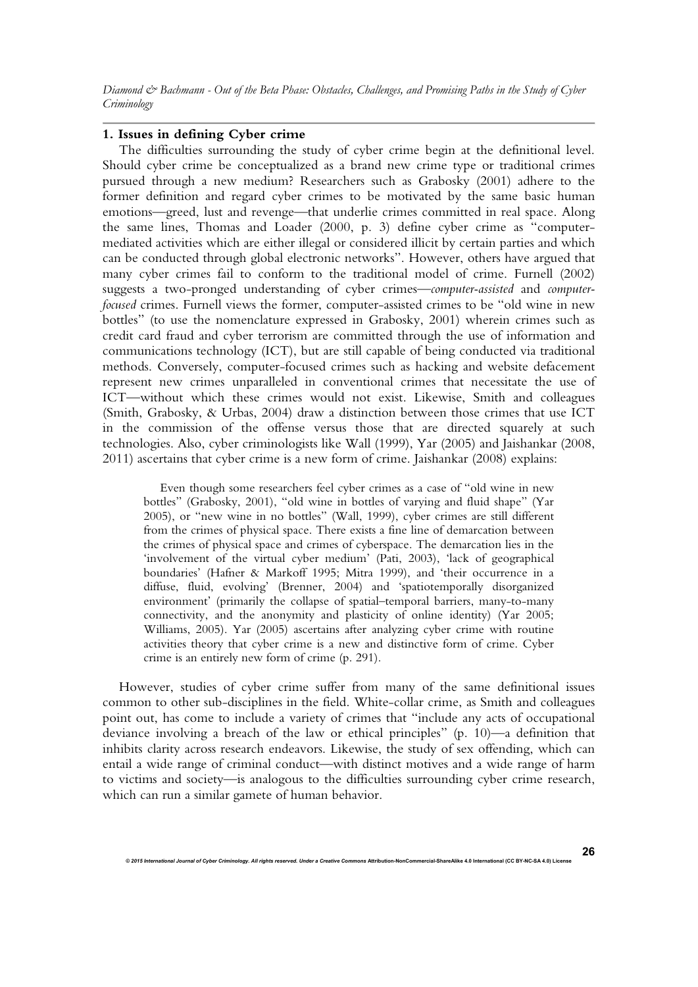#### **1. Issues in defining Cyber crime**

The difficulties surrounding the study of cyber crime begin at the definitional level. Should cyber crime be conceptualized as a brand new crime type or traditional crimes pursued through a new medium? Researchers such as Grabosky (2001) adhere to the former definition and regard cyber crimes to be motivated by the same basic human emotions—greed, lust and revenge—that underlie crimes committed in real space. Along the same lines, Thomas and Loader (2000, p. 3) define cyber crime as "computermediated activities which are either illegal or considered illicit by certain parties and which can be conducted through global electronic networks". However, others have argued that many cyber crimes fail to conform to the traditional model of crime. Furnell (2002) suggests a two-pronged understanding of cyber crimes—*computer-assisted* and *computerfocused* crimes. Furnell views the former, computer-assisted crimes to be "old wine in new bottles" (to use the nomenclature expressed in Grabosky, 2001) wherein crimes such as credit card fraud and cyber terrorism are committed through the use of information and communications technology (ICT), but are still capable of being conducted via traditional methods. Conversely, computer-focused crimes such as hacking and website defacement represent new crimes unparalleled in conventional crimes that necessitate the use of ICT—without which these crimes would not exist. Likewise, Smith and colleagues (Smith, Grabosky, & Urbas, 2004) draw a distinction between those crimes that use ICT in the commission of the offense versus those that are directed squarely at such technologies. Also, cyber criminologists like Wall (1999), Yar (2005) and Jaishankar (2008, 2011) ascertains that cyber crime is a new form of crime. Jaishankar (2008) explains:

Even though some researchers feel cyber crimes as a case of "old wine in new bottles" (Grabosky, 2001), "old wine in bottles of varying and fluid shape" (Yar 2005), or "new wine in no bottles" (Wall, 1999), cyber crimes are still different from the crimes of physical space. There exists a fine line of demarcation between the crimes of physical space and crimes of cyberspace. The demarcation lies in the 'involvement of the virtual cyber medium' (Pati, 2003), 'lack of geographical boundaries' (Hafner & Markoff 1995; Mitra 1999), and 'their occurrence in a diffuse, fluid, evolving' (Brenner, 2004) and 'spatiotemporally disorganized environment' (primarily the collapse of spatial–temporal barriers, many-to-many connectivity, and the anonymity and plasticity of online identity) (Yar 2005; Williams, 2005). Yar (2005) ascertains after analyzing cyber crime with routine activities theory that cyber crime is a new and distinctive form of crime. Cyber crime is an entirely new form of crime (p. 291).

However, studies of cyber crime suffer from many of the same definitional issues common to other sub-disciplines in the field. White-collar crime, as Smith and colleagues point out, has come to include a variety of crimes that "include any acts of occupational deviance involving a breach of the law or ethical principles" (p. 10)—a definition that inhibits clarity across research endeavors. Likewise, the study of sex offending, which can entail a wide range of criminal conduct—with distinct motives and a wide range of harm to victims and society—is analogous to the difficulties surrounding cyber crime research, which can run a similar gamete of human behavior.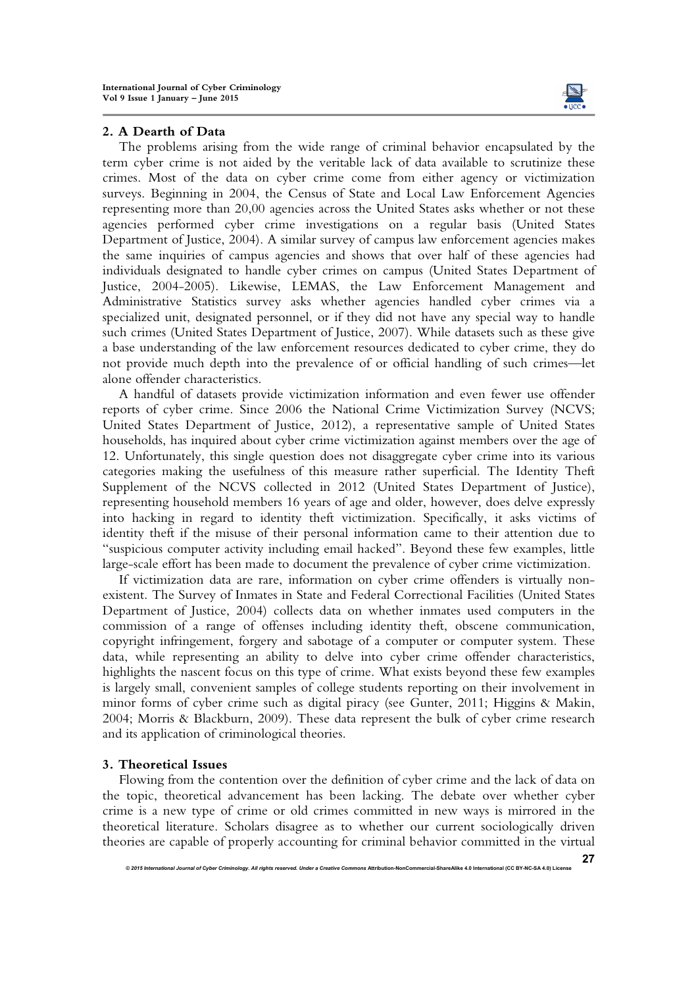

#### **2. A Dearth of Data**

The problems arising from the wide range of criminal behavior encapsulated by the term cyber crime is not aided by the veritable lack of data available to scrutinize these crimes. Most of the data on cyber crime come from either agency or victimization surveys. Beginning in 2004, the Census of State and Local Law Enforcement Agencies representing more than 20,00 agencies across the United States asks whether or not these agencies performed cyber crime investigations on a regular basis (United States Department of Justice, 2004). A similar survey of campus law enforcement agencies makes the same inquiries of campus agencies and shows that over half of these agencies had individuals designated to handle cyber crimes on campus (United States Department of Justice, 2004-2005). Likewise, LEMAS, the Law Enforcement Management and Administrative Statistics survey asks whether agencies handled cyber crimes via a specialized unit, designated personnel, or if they did not have any special way to handle such crimes (United States Department of Justice, 2007). While datasets such as these give a base understanding of the law enforcement resources dedicated to cyber crime, they do not provide much depth into the prevalence of or official handling of such crimes—let alone offender characteristics.

A handful of datasets provide victimization information and even fewer use offender reports of cyber crime. Since 2006 the National Crime Victimization Survey (NCVS; United States Department of Justice, 2012), a representative sample of United States households, has inquired about cyber crime victimization against members over the age of 12. Unfortunately, this single question does not disaggregate cyber crime into its various categories making the usefulness of this measure rather superficial. The Identity Theft Supplement of the NCVS collected in 2012 (United States Department of Justice), representing household members 16 years of age and older, however, does delve expressly into hacking in regard to identity theft victimization. Specifically, it asks victims of identity theft if the misuse of their personal information came to their attention due to "suspicious computer activity including email hacked". Beyond these few examples, little large-scale effort has been made to document the prevalence of cyber crime victimization.

If victimization data are rare, information on cyber crime offenders is virtually nonexistent. The Survey of Inmates in State and Federal Correctional Facilities (United States Department of Justice, 2004) collects data on whether inmates used computers in the commission of a range of offenses including identity theft, obscene communication, copyright infringement, forgery and sabotage of a computer or computer system. These data, while representing an ability to delve into cyber crime offender characteristics, highlights the nascent focus on this type of crime. What exists beyond these few examples is largely small, convenient samples of college students reporting on their involvement in minor forms of cyber crime such as digital piracy (see Gunter, 2011; Higgins & Makin, 2004; Morris & Blackburn, 2009). These data represent the bulk of cyber crime research and its application of criminological theories.

## **3. Theoretical Issues**

Flowing from the contention over the definition of cyber crime and the lack of data on the topic, theoretical advancement has been lacking. The debate over whether cyber crime is a new type of crime or old crimes committed in new ways is mirrored in the theoretical literature. Scholars disagree as to whether our current sociologically driven theories are capable of properly accounting for criminal behavior committed in the virtual

*<sup>© 2015</sup> International Journal of Cyber Criminology. All rights reserved. Under a Creative Commons* **Attribution-NonCommercial-ShareAlike 4.0 International (CC BY-NC-SA 4.0) License**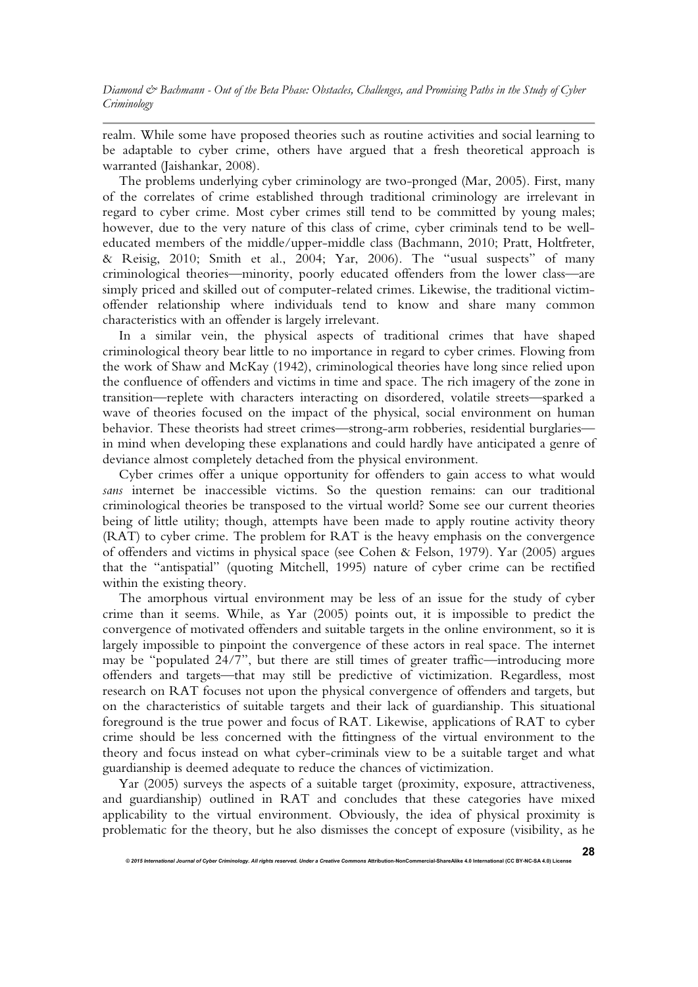realm. While some have proposed theories such as routine activities and social learning to be adaptable to cyber crime, others have argued that a fresh theoretical approach is warranted (Jaishankar, 2008).

The problems underlying cyber criminology are two-pronged (Mar, 2005). First, many of the correlates of crime established through traditional criminology are irrelevant in regard to cyber crime. Most cyber crimes still tend to be committed by young males; however, due to the very nature of this class of crime, cyber criminals tend to be welleducated members of the middle/upper-middle class (Bachmann, 2010; Pratt, Holtfreter, & Reisig, 2010; Smith et al., 2004; Yar, 2006). The "usual suspects" of many criminological theories—minority, poorly educated offenders from the lower class—are simply priced and skilled out of computer-related crimes. Likewise, the traditional victimoffender relationship where individuals tend to know and share many common characteristics with an offender is largely irrelevant.

In a similar vein, the physical aspects of traditional crimes that have shaped criminological theory bear little to no importance in regard to cyber crimes. Flowing from the work of Shaw and McKay (1942), criminological theories have long since relied upon the confluence of offenders and victims in time and space. The rich imagery of the zone in transition—replete with characters interacting on disordered, volatile streets—sparked a wave of theories focused on the impact of the physical, social environment on human behavior. These theorists had street crimes—strong-arm robberies, residential burglaries in mind when developing these explanations and could hardly have anticipated a genre of deviance almost completely detached from the physical environment.

Cyber crimes offer a unique opportunity for offenders to gain access to what would *sans* internet be inaccessible victims. So the question remains: can our traditional criminological theories be transposed to the virtual world? Some see our current theories being of little utility; though, attempts have been made to apply routine activity theory (RAT) to cyber crime. The problem for RAT is the heavy emphasis on the convergence of offenders and victims in physical space (see Cohen & Felson, 1979). Yar (2005) argues that the "antispatial" (quoting Mitchell, 1995) nature of cyber crime can be rectified within the existing theory.

The amorphous virtual environment may be less of an issue for the study of cyber crime than it seems. While, as Yar (2005) points out, it is impossible to predict the convergence of motivated offenders and suitable targets in the online environment, so it is largely impossible to pinpoint the convergence of these actors in real space. The internet may be "populated 24/7", but there are still times of greater traffic—introducing more offenders and targets—that may still be predictive of victimization. Regardless, most research on RAT focuses not upon the physical convergence of offenders and targets, but on the characteristics of suitable targets and their lack of guardianship. This situational foreground is the true power and focus of RAT. Likewise, applications of RAT to cyber crime should be less concerned with the fittingness of the virtual environment to the theory and focus instead on what cyber-criminals view to be a suitable target and what guardianship is deemed adequate to reduce the chances of victimization.

Yar (2005) surveys the aspects of a suitable target (proximity, exposure, attractiveness, and guardianship) outlined in RAT and concludes that these categories have mixed applicability to the virtual environment. Obviously, the idea of physical proximity is problematic for the theory, but he also dismisses the concept of exposure (visibility, as he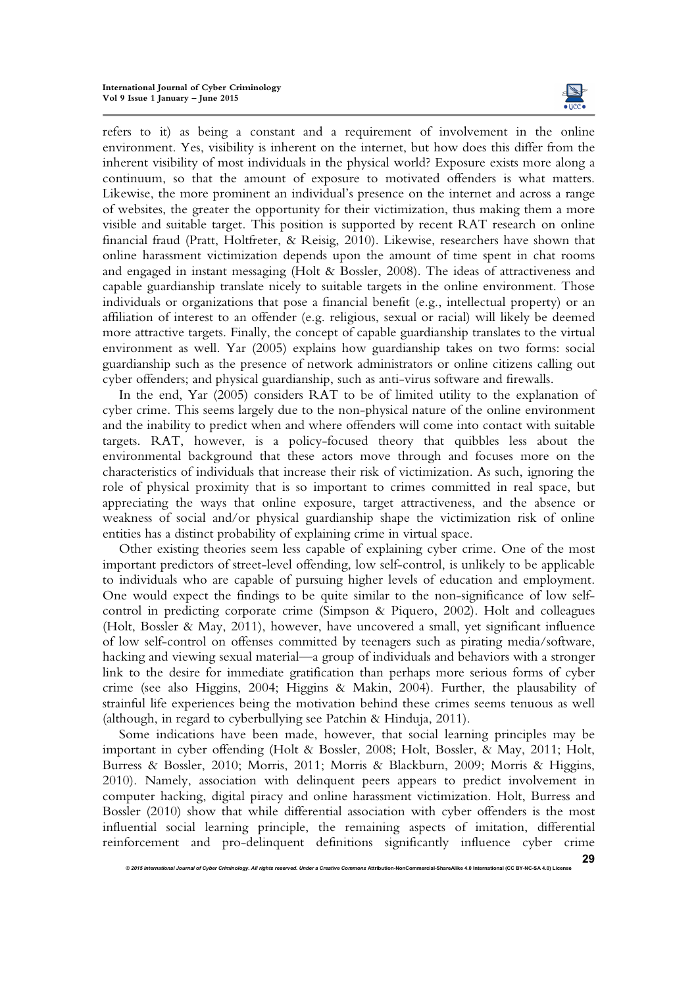

refers to it) as being a constant and a requirement of involvement in the online environment. Yes, visibility is inherent on the internet, but how does this differ from the inherent visibility of most individuals in the physical world? Exposure exists more along a continuum, so that the amount of exposure to motivated offenders is what matters. Likewise, the more prominent an individual's presence on the internet and across a range of websites, the greater the opportunity for their victimization, thus making them a more visible and suitable target. This position is supported by recent RAT research on online financial fraud (Pratt, Holtfreter, & Reisig, 2010). Likewise, researchers have shown that online harassment victimization depends upon the amount of time spent in chat rooms and engaged in instant messaging (Holt & Bossler, 2008). The ideas of attractiveness and capable guardianship translate nicely to suitable targets in the online environment. Those individuals or organizations that pose a financial benefit (e.g., intellectual property) or an affiliation of interest to an offender (e.g. religious, sexual or racial) will likely be deemed more attractive targets. Finally, the concept of capable guardianship translates to the virtual environment as well. Yar (2005) explains how guardianship takes on two forms: social guardianship such as the presence of network administrators or online citizens calling out cyber offenders; and physical guardianship, such as anti-virus software and firewalls.

In the end, Yar (2005) considers RAT to be of limited utility to the explanation of cyber crime. This seems largely due to the non-physical nature of the online environment and the inability to predict when and where offenders will come into contact with suitable targets. RAT, however, is a policy-focused theory that quibbles less about the environmental background that these actors move through and focuses more on the characteristics of individuals that increase their risk of victimization. As such, ignoring the role of physical proximity that is so important to crimes committed in real space, but appreciating the ways that online exposure, target attractiveness, and the absence or weakness of social and/or physical guardianship shape the victimization risk of online entities has a distinct probability of explaining crime in virtual space.

Other existing theories seem less capable of explaining cyber crime. One of the most important predictors of street-level offending, low self-control, is unlikely to be applicable to individuals who are capable of pursuing higher levels of education and employment. One would expect the findings to be quite similar to the non-significance of low selfcontrol in predicting corporate crime (Simpson & Piquero, 2002). Holt and colleagues (Holt, Bossler & May, 2011), however, have uncovered a small, yet significant influence of low self-control on offenses committed by teenagers such as pirating media/software, hacking and viewing sexual material—a group of individuals and behaviors with a stronger link to the desire for immediate gratification than perhaps more serious forms of cyber crime (see also Higgins, 2004; Higgins & Makin, 2004). Further, the plausability of strainful life experiences being the motivation behind these crimes seems tenuous as well (although, in regard to cyberbullying see Patchin & Hinduja, 2011).

Some indications have been made, however, that social learning principles may be important in cyber offending (Holt & Bossler, 2008; Holt, Bossler, & May, 2011; Holt, Burress & Bossler, 2010; Morris, 2011; Morris & Blackburn, 2009; Morris & Higgins, 2010). Namely, association with delinquent peers appears to predict involvement in computer hacking, digital piracy and online harassment victimization. Holt, Burress and Bossler (2010) show that while differential association with cyber offenders is the most influential social learning principle, the remaining aspects of imitation, differential reinforcement and pro-delinquent definitions significantly influence cyber crime

*<sup>© 2015</sup> International Journal of Cyber Criminology. All rights reserved. Under a Creative Commons* **Attribution-NonCommercial-ShareAlike 4.0 International (CC BY-NC-SA 4.0) License**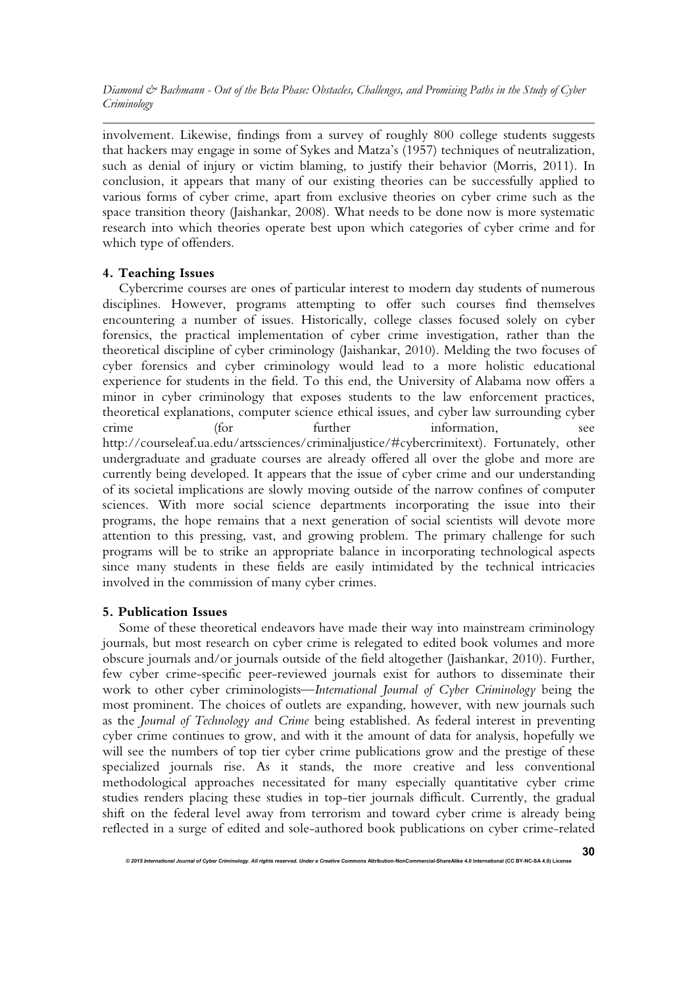involvement. Likewise, findings from a survey of roughly 800 college students suggests that hackers may engage in some of Sykes and Matza's (1957) techniques of neutralization, such as denial of injury or victim blaming, to justify their behavior (Morris, 2011). In conclusion, it appears that many of our existing theories can be successfully applied to various forms of cyber crime, apart from exclusive theories on cyber crime such as the space transition theory (Jaishankar, 2008). What needs to be done now is more systematic research into which theories operate best upon which categories of cyber crime and for which type of offenders.

### **4. Teaching Issues**

Cybercrime courses are ones of particular interest to modern day students of numerous disciplines. However, programs attempting to offer such courses find themselves encountering a number of issues. Historically, college classes focused solely on cyber forensics, the practical implementation of cyber crime investigation, rather than the theoretical discipline of cyber criminology (Jaishankar, 2010). Melding the two focuses of cyber forensics and cyber criminology would lead to a more holistic educational experience for students in the field. To this end, the University of Alabama now offers a minor in cyber criminology that exposes students to the law enforcement practices, theoretical explanations, computer science ethical issues, and cyber law surrounding cyber crime (for further information, see http://courseleaf.ua.edu/artssciences/criminaljustice/#cybercrimitext). Fortunately, other undergraduate and graduate courses are already offered all over the globe and more are currently being developed. It appears that the issue of cyber crime and our understanding of its societal implications are slowly moving outside of the narrow confines of computer sciences. With more social science departments incorporating the issue into their programs, the hope remains that a next generation of social scientists will devote more attention to this pressing, vast, and growing problem. The primary challenge for such programs will be to strike an appropriate balance in incorporating technological aspects since many students in these fields are easily intimidated by the technical intricacies involved in the commission of many cyber crimes.

#### **5. Publication Issues**

Some of these theoretical endeavors have made their way into mainstream criminology journals, but most research on cyber crime is relegated to edited book volumes and more obscure journals and/or journals outside of the field altogether (Jaishankar, 2010). Further, few cyber crime-specific peer-reviewed journals exist for authors to disseminate their work to other cyber criminologists—*International Journal of Cyber Criminology* being the most prominent. The choices of outlets are expanding, however, with new journals such as the *Journal of Technology and Crime* being established. As federal interest in preventing cyber crime continues to grow, and with it the amount of data for analysis, hopefully we will see the numbers of top tier cyber crime publications grow and the prestige of these specialized journals rise. As it stands, the more creative and less conventional methodological approaches necessitated for many especially quantitative cyber crime studies renders placing these studies in top-tier journals difficult. Currently, the gradual shift on the federal level away from terrorism and toward cyber crime is already being reflected in a surge of edited and sole-authored book publications on cyber crime-related

*© 2015 International Journal of Cyber Criminology. All rights reserved. Under a Creative Commons* **Attribution-NonCommercial-ShareAlike 4.0 International (CC BY-NC-SA 4.0) License**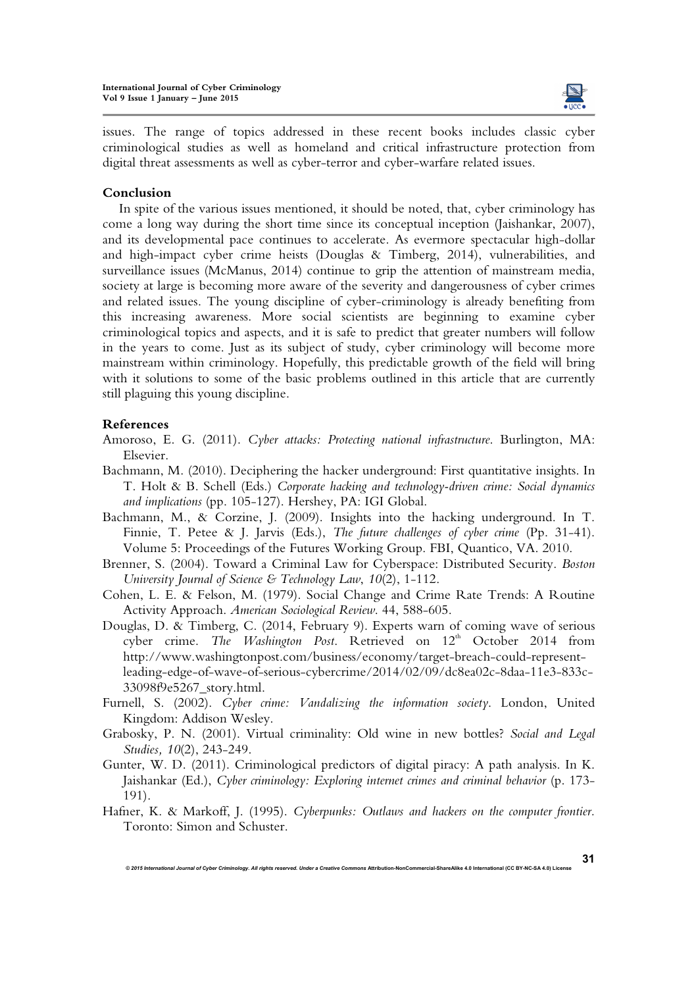

issues. The range of topics addressed in these recent books includes classic cyber criminological studies as well as homeland and critical infrastructure protection from digital threat assessments as well as cyber-terror and cyber-warfare related issues.

## **Conclusion**

In spite of the various issues mentioned, it should be noted, that, cyber criminology has come a long way during the short time since its conceptual inception (Jaishankar, 2007), and its developmental pace continues to accelerate. As evermore spectacular high-dollar and high-impact cyber crime heists (Douglas & Timberg, 2014), vulnerabilities, and surveillance issues (McManus, 2014) continue to grip the attention of mainstream media, society at large is becoming more aware of the severity and dangerousness of cyber crimes and related issues. The young discipline of cyber-criminology is already benefiting from this increasing awareness. More social scientists are beginning to examine cyber criminological topics and aspects, and it is safe to predict that greater numbers will follow in the years to come. Just as its subject of study, cyber criminology will become more mainstream within criminology. Hopefully, this predictable growth of the field will bring with it solutions to some of the basic problems outlined in this article that are currently still plaguing this young discipline.

### **References**

- Amoroso, E. G. (2011). *Cyber attacks: Protecting national infrastructure*. Burlington, MA: Elsevier.
- Bachmann, M. (2010). Deciphering the hacker underground: First quantitative insights. In T. Holt & B. Schell (Eds.) *Corporate hacking and technology-driven crime: Social dynamics and implications* (pp. 105-127). Hershey, PA: IGI Global.
- Bachmann, M., & Corzine, J. (2009). Insights into the hacking underground. In T. Finnie, T. Petee & J. Jarvis (Eds.), *The future challenges of cyber crime* (Pp. 31-41). Volume 5: Proceedings of the Futures Working Group. FBI, Quantico, VA. 2010.
- Brenner, S. (2004). Toward a Criminal Law for Cyberspace: Distributed Security. *Boston University Journal of Science & Technology Law*, *10*(2), 1-112.
- Cohen, L. E. & Felson, M. (1979). Social Change and Crime Rate Trends: A Routine Activity Approach. *American Sociological Review*. 44, 588-605.
- Douglas, D. & Timberg, C. (2014, February 9). Experts warn of coming wave of serious cyber crime. *The Washington Post*. Retrieved on 12<sup>th</sup> October 2014 from http://www.washingtonpost.com/business/economy/target-breach-could-representleading-edge-of-wave-of-serious-cybercrime/2014/02/09/dc8ea02c-8daa-11e3-833c-33098f9e5267\_story.html.
- Furnell, S. (2002). *Cyber crime: Vandalizing the information society*. London, United Kingdom: Addison Wesley.
- Grabosky, P. N. (2001). Virtual criminality: Old wine in new bottles? *Social and Legal Studies, 10*(2), 243-249.
- Gunter, W. D. (2011). Criminological predictors of digital piracy: A path analysis. In K. Jaishankar (Ed.), *Cyber criminology: Exploring internet crimes and criminal behavior* (p. 173- 191).
- Hafner, K. & Markoff, J. (1995). *Cyberpunks: Outlaws and hackers on the computer frontier.*  Toronto: Simon and Schuster.

*© 2015 International Journal of Cyber Criminology. All rights reserved. Under a Creative Commons* **Attribution-NonCommercial-ShareAlike 4.0 International (CC BY-NC-SA 4.0) License** 

**31**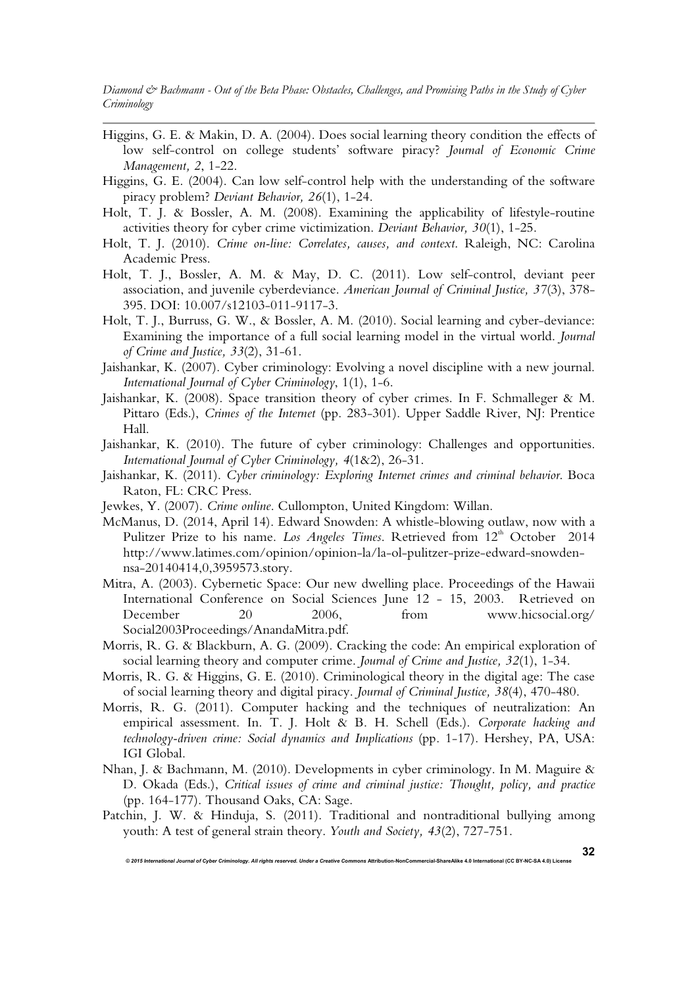- Higgins, G. E. & Makin, D. A. (2004). Does social learning theory condition the effects of low self-control on college students' software piracy? *Journal of Economic Crime Management, 2*, 1-22.
- Higgins, G. E. (2004). Can low self-control help with the understanding of the software piracy problem? *Deviant Behavior, 26*(1), 1-24.
- Holt, T. J. & Bossler, A. M. (2008). Examining the applicability of lifestyle-routine activities theory for cyber crime victimization. *Deviant Behavior, 30*(1), 1-25.
- Holt, T. J. (2010). *Crime on-line: Correlates, causes, and context*. Raleigh, NC: Carolina Academic Press.
- Holt, T. J., Bossler, A. M. & May, D. C. (2011). Low self-control, deviant peer association, and juvenile cyberdeviance. *American Journal of Criminal Justice, 37*(3), 378- 395. DOI: 10.007/s12103-011-9117-3.
- Holt, T. J., Burruss, G. W., & Bossler, A. M. (2010). Social learning and cyber-deviance: Examining the importance of a full social learning model in the virtual world. *Journal of Crime and Justice, 33*(2), 31-61.
- Jaishankar, K. (2007). Cyber criminology: Evolving a novel discipline with a new journal. *International Journal of Cyber Criminology*, 1(1), 1-6.
- Jaishankar, K. (2008). Space transition theory of cyber crimes. In F. Schmalleger & M. Pittaro (Eds.), *Crimes of the Internet* (pp. 283-301). Upper Saddle River, NJ: Prentice Hall.
- Jaishankar, K. (2010). The future of cyber criminology: Challenges and opportunities. *International Journal of Cyber Criminology, 4*(1&2), 26-31.
- Jaishankar, K. (2011). *Cyber criminology: Exploring Internet crimes and criminal behavior*. Boca Raton, FL: CRC Press.
- Jewkes, Y. (2007). *Crime online*. Cullompton, United Kingdom: Willan.
- McManus, D. (2014, April 14). Edward Snowden: A whistle-blowing outlaw, now with a Pulitzer Prize to his name. *Los Angeles Times*. Retrieved from 12<sup>th</sup> October 2014 http://www.latimes.com/opinion/opinion-la/la-ol-pulitzer-prize-edward-snowdennsa-20140414,0,3959573.story.
- Mitra, A. (2003). Cybernetic Space: Our new dwelling place. Proceedings of the Hawaii International Conference on Social Sciences June 12 - 15, 2003. Retrieved on December 20 2006, from www.hicsocial.org/ Social2003Proceedings/AnandaMitra.pdf.
- Morris, R. G. & Blackburn, A. G. (2009). Cracking the code: An empirical exploration of social learning theory and computer crime. *Journal of Crime and Justice, 32*(1), 1-34.
- Morris, R. G. & Higgins, G. E. (2010). Criminological theory in the digital age: The case of social learning theory and digital piracy. *Journal of Criminal Justice, 38*(4), 470-480.
- Morris, R. G. (2011). Computer hacking and the techniques of neutralization: An empirical assessment. In. T. J. Holt & B. H. Schell (Eds.). *Corporate hacking and technology-driven crime: Social dynamics and Implications* (pp. 1-17). Hershey, PA, USA: IGI Global.
- Nhan, J. & Bachmann, M. (2010). Developments in cyber criminology. In M. Maguire & D. Okada (Eds.), *Critical issues of crime and criminal justice: Thought, policy, and practice* (pp. 164-177). Thousand Oaks, CA: Sage.
- Patchin, J. W. & Hinduja, S. (2011). Traditional and nontraditional bullying among youth: A test of general strain theory. *Youth and Society, 43*(2), 727-751.

*© 2015 International Journal of Cyber Criminology. All rights reserved. Under a Creative Commons* **Attribution-NonCommercial-ShareAlike 4.0 International (CC BY-NC-SA 4.0) License**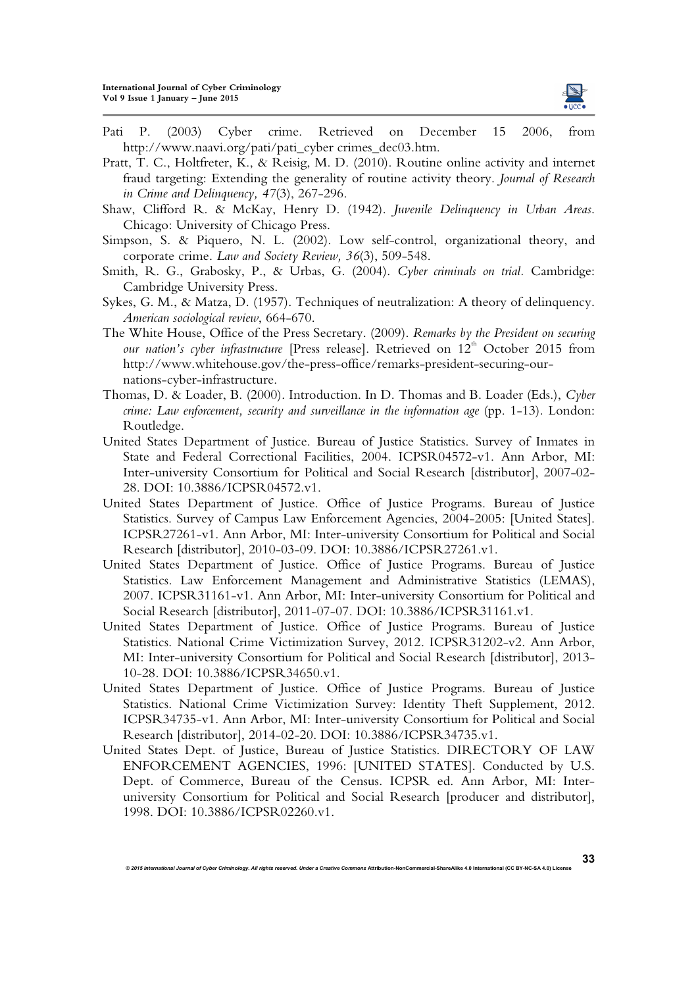

- Pati P. (2003) Cyber crime. Retrieved on December 15 2006, from http://www.naavi.org/pati/pati\_cyber crimes\_dec03.htm.
- Pratt, T. C., Holtfreter, K., & Reisig, M. D. (2010). Routine online activity and internet fraud targeting: Extending the generality of routine activity theory. *Journal of Research in Crime and Delinquency, 47*(3), 267-296.
- Shaw, Clifford R. & McKay, Henry D. (1942). *Juvenile Delinquency in Urban Areas*. Chicago: University of Chicago Press.
- Simpson, S. & Piquero, N. L. (2002). Low self-control, organizational theory, and corporate crime. *Law and Society Review, 36*(3), 509-548.
- Smith, R. G., Grabosky, P., & Urbas, G. (2004). *Cyber criminals on trial.* Cambridge: Cambridge University Press.
- Sykes, G. M., & Matza, D. (1957). Techniques of neutralization: A theory of delinquency. *American sociological review*, 664-670.
- The White House, Office of the Press Secretary. (2009). *Remarks by the President on securing our nation's cyber infrastructure* [Press release]. Retrieved on 12<sup>th</sup> October 2015 from http://www.whitehouse.gov/the-press-office/remarks-president-securing-ournations-cyber-infrastructure.
- Thomas, D. & Loader, B. (2000). Introduction. In D. Thomas and B. Loader (Eds.), *Cyber crime: Law enforcement, security and surveillance in the information age* (pp. 1-13)*.* London: Routledge.
- United States Department of Justice. Bureau of Justice Statistics. Survey of Inmates in State and Federal Correctional Facilities, 2004. ICPSR04572-v1. Ann Arbor, MI: Inter-university Consortium for Political and Social Research [distributor], 2007-02- 28. DOI: 10.3886/ICPSR04572.v1.
- United States Department of Justice. Office of Justice Programs. Bureau of Justice Statistics. Survey of Campus Law Enforcement Agencies, 2004-2005: [United States]. ICPSR27261-v1. Ann Arbor, MI: Inter-university Consortium for Political and Social Research [distributor], 2010-03-09. DOI: 10.3886/ICPSR27261.v1.
- United States Department of Justice. Office of Justice Programs. Bureau of Justice Statistics. Law Enforcement Management and Administrative Statistics (LEMAS), 2007. ICPSR31161-v1. Ann Arbor, MI: Inter-university Consortium for Political and Social Research [distributor], 2011-07-07. DOI: 10.3886/ICPSR31161.v1.
- United States Department of Justice. Office of Justice Programs. Bureau of Justice Statistics. National Crime Victimization Survey, 2012. ICPSR31202-v2. Ann Arbor, MI: Inter-university Consortium for Political and Social Research [distributor], 2013- 10-28. DOI: 10.3886/ICPSR34650.v1.
- United States Department of Justice. Office of Justice Programs. Bureau of Justice Statistics. National Crime Victimization Survey: Identity Theft Supplement, 2012. ICPSR34735-v1. Ann Arbor, MI: Inter-university Consortium for Political and Social Research [distributor], 2014-02-20. DOI: 10.3886/ICPSR34735.v1.
- United States Dept. of Justice, Bureau of Justice Statistics. DIRECTORY OF LAW ENFORCEMENT AGENCIES, 1996: [UNITED STATES]. Conducted by U.S. Dept. of Commerce, Bureau of the Census. ICPSR ed. Ann Arbor, MI: Interuniversity Consortium for Political and Social Research [producer and distributor], 1998. DOI: 10.3886/ICPSR02260.v1.